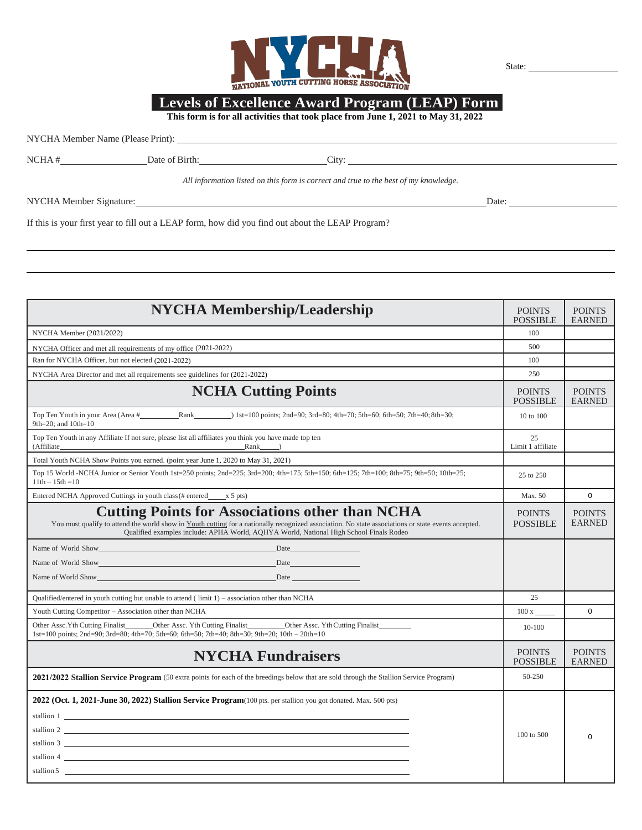

State:

## Levels of Excellence Award Program (LEAP) Form<br>This form is for all activities that took place from June 1, 2021 to May 31, 2022

All information listed on this form is correct and true to the best of my knowledge.

NYCHA Member Signature: Date: Date: Date: Date:

If this is your first year to fill out a LEAP form, how did you find out about the LEAP Program?

| <b>NYCHA Membership/Leadership</b>                                                                                                                                                                                                                                                                      | <b>POINTS</b><br><b>POSSIBLE</b> | <b>POINTS</b><br><b>EARNED</b> |
|---------------------------------------------------------------------------------------------------------------------------------------------------------------------------------------------------------------------------------------------------------------------------------------------------------|----------------------------------|--------------------------------|
| NYCHA Member (2021/2022)                                                                                                                                                                                                                                                                                | 100                              |                                |
| NYCHA Officer and met all requirements of my office (2021-2022)                                                                                                                                                                                                                                         | 500                              |                                |
| Ran for NYCHA Officer, but not elected (2021-2022)                                                                                                                                                                                                                                                      | 100                              |                                |
| NYCHA Area Director and met all requirements see guidelines for (2021-2022)                                                                                                                                                                                                                             | 250                              |                                |
| <b>NCHA Cutting Points</b>                                                                                                                                                                                                                                                                              | <b>POINTS</b><br><b>POSSIBLE</b> | <b>POINTS</b><br><b>EARNED</b> |
| Top Ten Youth in your Area (Area # Rank ) 1st=100 points; 2nd=90; 3rd=80; 4th=70; 5th=60; 6th=50; 7th=40; 8th=30;<br>9th=20; and $10th=10$                                                                                                                                                              | 10 to 100                        |                                |
| Top Ten Youth in any Affiliate If not sure, please list all affiliates you think you have made top ten<br>(Affiliate)<br>Rank                                                                                                                                                                           | 25<br>Limit 1 affiliate          |                                |
| Total Youth NCHA Show Points you earned. (point year June 1, 2020 to May 31, 2021)                                                                                                                                                                                                                      |                                  |                                |
| Top 15 World -NCHA Junior or Senior Youth 1st=250 points; 2nd=225; 3rd=200; 4th=175; 5th=150; 6th=125; 7th=100; 8th=75; 9th=50; 10th=25;<br>$11th - 15th = 10$                                                                                                                                          | 25 to 250                        |                                |
| Entered NCHA Approved Cuttings in youth class (# entered ______ x 5 pts)                                                                                                                                                                                                                                | Max. 50                          | $\Omega$                       |
| <b>Cutting Points for Associations other than NCHA</b><br>You must qualify to attend the world show in Youth cutting for a nationally recognized association. No state associations or state events accepted.<br>Qualified examples include: APHA World, AQHYA World, National High School Finals Rodeo | <b>POINTS</b><br><b>POSSIBLE</b> | <b>POINTS</b><br><b>EARNED</b> |
| Name of World Show<br>Date                                                                                                                                                                                                                                                                              |                                  |                                |
|                                                                                                                                                                                                                                                                                                         |                                  |                                |
| Name of World Show Date has been a series of the state of the state of the state of the state of the state of the state of the state of the state of the state of the state of the state of the state of the state of the stat                                                                          |                                  |                                |
| Qualified/entered in youth cutting but unable to attend $($ limit $1)$ – association other than NCHA                                                                                                                                                                                                    | 25                               |                                |
| Youth Cutting Competitor - Association other than NCHA                                                                                                                                                                                                                                                  | 100x                             | $\Omega$                       |
| _Other Assc. Yth Cutting Finalist____________Other Assc. Yth Cutting Finalist__________<br>Other Assc. Yth Cutting Finalist<br>1st=100 points; 2nd=90; 3rd=80; 4th=70; 5th=60; 6th=50; 7th=40; 8th=30; 9th=20; 10th - 20th=10                                                                           | $10 - 100$                       |                                |
| <b>NYCHA Fundraisers</b>                                                                                                                                                                                                                                                                                | <b>POINTS</b><br><b>POSSIBLE</b> | <b>POINTS</b><br><b>EARNED</b> |
| 2021/2022 Stallion Service Program (50 extra points for each of the breedings below that are sold through the Stallion Service Program)                                                                                                                                                                 | 50-250                           |                                |
| 2022 (Oct. 1, 2021-June 30, 2022) Stallion Service Program (100 pts. per stallion you got donated. Max. 500 pts)                                                                                                                                                                                        |                                  |                                |
| stallion 1                                                                                                                                                                                                                                                                                              |                                  |                                |
| stallion $2 \overline{\phantom{a}}$                                                                                                                                                                                                                                                                     | $100$ to $500$                   | $\Omega$                       |
| stallion $3 \quad \blacksquare$                                                                                                                                                                                                                                                                         |                                  |                                |
| stallion 4                                                                                                                                                                                                                                                                                              |                                  |                                |
| stallion $5 \quad \underline{\hspace{2cm}}$                                                                                                                                                                                                                                                             |                                  |                                |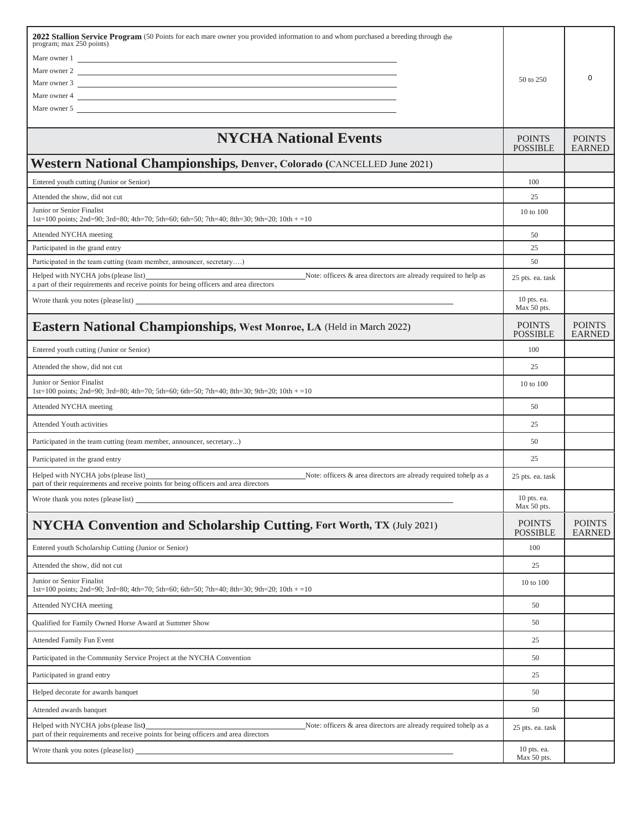| 2022 Stallion Service Program (50 Points for each mare owner you provided information to and whom purchased a breeding through the<br>program; max 250 points)<br>Mare owner 1<br>Mare owner 2     |                                  |                                |
|----------------------------------------------------------------------------------------------------------------------------------------------------------------------------------------------------|----------------------------------|--------------------------------|
| Mare owner 3<br>Mare owner 4<br>Mare owner 5                                                                                                                                                       | 50 to 250                        | 0                              |
| <b>NYCHA National Events</b>                                                                                                                                                                       | <b>POINTS</b><br><b>POSSIBLE</b> | <b>POINTS</b><br><b>EARNED</b> |
| Western National Championships, Denver, Colorado (CANCELLED June 2021)                                                                                                                             |                                  |                                |
| Entered youth cutting (Junior or Senior)                                                                                                                                                           | 100                              |                                |
| Attended the show, did not cut                                                                                                                                                                     | 25                               |                                |
| Junior or Senior Finalist<br>1st=100 points; 2nd=90; 3rd=80; 4th=70; 5th=60; 6th=50; 7th=40; 8th=30; 9th=20; 10th + =10                                                                            | 10 to 100                        |                                |
| Attended NYCHA meeting                                                                                                                                                                             | 50                               |                                |
| Participated in the grand entry                                                                                                                                                                    | 25                               |                                |
| Participated in the team cutting (team member, announcer, secretary)                                                                                                                               | 50                               |                                |
| Helped with NYCHA jobs (please list)<br>Note: officers & area directors are already required to help as<br>a part of their requirements and receive points for being officers and area directors   | 25 pts. ea. task                 |                                |
|                                                                                                                                                                                                    | 10 pts. ea.<br>Max 50 pts.       |                                |
| <b>Eastern National Championships, West Monroe, LA (Held in March 2022)</b>                                                                                                                        | <b>POINTS</b><br><b>POSSIBLE</b> | <b>POINTS</b><br><b>EARNED</b> |
| Entered youth cutting (Junior or Senior)                                                                                                                                                           | 100                              |                                |
| Attended the show, did not cut                                                                                                                                                                     | 25                               |                                |
| Junior or Senior Finalist<br>1st=100 points; 2nd=90; 3rd=80; 4th=70; 5th=60; 6th=50; 7th=40; 8th=30; 9th=20; 10th + =10                                                                            | 10 to 100                        |                                |
| Attended NYCHA meeting                                                                                                                                                                             | 50                               |                                |
| <b>Attended Youth activities</b>                                                                                                                                                                   | 25                               |                                |
| Participated in the team cutting (team member, announcer, secretary)                                                                                                                               | 50                               |                                |
| Participated in the grand entry                                                                                                                                                                    | 25                               |                                |
| Helped with NYCHA jobs (please list)<br>Note: officers & area directors are already required tohelp as a<br>part of their requirements and receive points for being officers and area directors    | 25 pts. ea. task                 |                                |
| Wrote thank you notes (please list) ______                                                                                                                                                         | 10 pts. ea.<br>Max 50 pts.       |                                |
| NYCHA Convention and Scholarship Cutting, Fort Worth, TX (July 2021)                                                                                                                               | <b>POINTS</b><br><b>POSSIBLE</b> | <b>POINTS</b><br><b>EARNED</b> |
| Entered youth Scholarship Cutting (Junior or Senior)                                                                                                                                               | 100                              |                                |
| Attended the show, did not cut                                                                                                                                                                     | 25                               |                                |
| Junior or Senior Finalist<br>1st=100 points; 2nd=90; 3rd=80; 4th=70; 5th=60; 6th=50; 7th=40; 8th=30; 9th=20; 10th + =10                                                                            | 10 to 100                        |                                |
|                                                                                                                                                                                                    |                                  |                                |
| Attended NYCHA meeting                                                                                                                                                                             | 50                               |                                |
| Qualified for Family Owned Horse Award at Summer Show                                                                                                                                              | 50                               |                                |
| Attended Family Fun Event                                                                                                                                                                          | 25                               |                                |
| Participated in the Community Service Project at the NYCHA Convention                                                                                                                              | 50                               |                                |
| Participated in grand entry                                                                                                                                                                        | 25                               |                                |
| Helped decorate for awards banquet                                                                                                                                                                 | 50                               |                                |
| Attended awards banquet                                                                                                                                                                            | 50                               |                                |
| Helped with NYCHA jobs (please list)<br>Note: officers $\&$ area directors are already required tohelp as a<br>part of their requirements and receive points for being officers and area directors | 25 pts. ea. task                 |                                |